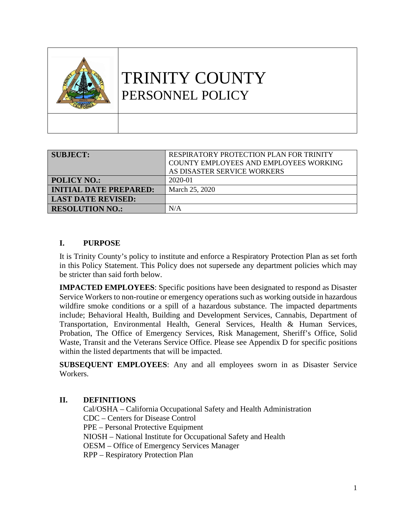| TRINITY COUNTY<br>PERSONNEL POLICY |
|------------------------------------|
|                                    |

| <b>SUBJECT:</b>               | RESPIRATORY PROTECTION PLAN FOR TRINITY |
|-------------------------------|-----------------------------------------|
|                               | COUNTY EMPLOYEES AND EMPLOYEES WORKING  |
|                               | AS DISASTER SERVICE WORKERS             |
| <b>POLICY NO.:</b>            | 2020-01                                 |
| <b>INITIAL DATE PREPARED:</b> | March 25, 2020                          |
| <b>LAST DATE REVISED:</b>     |                                         |
| <b>RESOLUTION NO.:</b>        | N/A                                     |

## **I. PURPOSE**

It is Trinity County's policy to institute and enforce a Respiratory Protection Plan as set forth in this Policy Statement. This Policy does not supersede any department policies which may be stricter than said forth below.

**IMPACTED EMPLOYEES**: Specific positions have been designated to respond as Disaster Service Workers to non-routine or emergency operations such as working outside in hazardous wildfire smoke conditions or a spill of a hazardous substance. The impacted departments include; Behavioral Health, Building and Development Services, Cannabis, Department of Transportation, Environmental Health, General Services, Health & Human Services, Probation, The Office of Emergency Services, Risk Management, Sheriff's Office, Solid Waste, Transit and the Veterans Service Office. Please see Appendix D for specific positions within the listed departments that will be impacted.

**SUBSEQUENT EMPLOYEES**: Any and all employees sworn in as Disaster Service Workers.

### **II. DEFINITIONS**

Cal/OSHA – California Occupational Safety and Health Administration CDC – Centers for Disease Control PPE – Personal Protective Equipment NIOSH – National Institute for Occupational Safety and Health OESM – Office of Emergency Services Manager RPP – Respiratory Protection Plan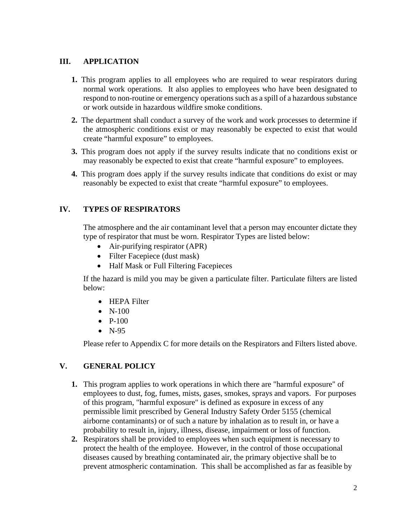### **III. APPLICATION**

- **1.** This program applies to all employees who are required to wear respirators during normal work operations. It also applies to employees who have been designated to respond to non-routine or emergency operations such as a spill of a hazardous substance or work outside in hazardous wildfire smoke conditions.
- **2.** The department shall conduct a survey of the work and work processes to determine if the atmospheric conditions exist or may reasonably be expected to exist that would create "harmful exposure" to employees.
- **3.** This program does not apply if the survey results indicate that no conditions exist or may reasonably be expected to exist that create "harmful exposure" to employees.
- **4.** This program does apply if the survey results indicate that conditions do exist or may reasonably be expected to exist that create "harmful exposure" to employees.

## **IV. TYPES OF RESPIRATORS**

The atmosphere and the air contaminant level that a person may encounter dictate they type of respirator that must be worn. Respirator Types are listed below:

- Air-purifying respirator (APR)
- Filter Facepiece (dust mask)
- Half Mask or Full Filtering Facepieces

If the hazard is mild you may be given a particulate filter. Particulate filters are listed below:

- HEPA Filter
- $\bullet$  N-100
- $\bullet$  P-100
- $\bullet$  N-95

Please refer to Appendix C for more details on the Respirators and Filters listed above.

### **V. GENERAL POLICY**

- **1.** This program applies to work operations in which there are "harmful exposure" of employees to dust, fog, fumes, mists, gases, smokes, sprays and vapors. For purposes of this program, "harmful exposure" is defined as exposure in excess of any permissible limit prescribed by General Industry Safety Order 5155 (chemical airborne contaminants) or of such a nature by inhalation as to result in, or have a probability to result in, injury, illness, disease, impairment or loss of function.
- **2.** Respirators shall be provided to employees when such equipment is necessary to protect the health of the employee. However, in the control of those occupational diseases caused by breathing contaminated air, the primary objective shall be to prevent atmospheric contamination. This shall be accomplished as far as feasible by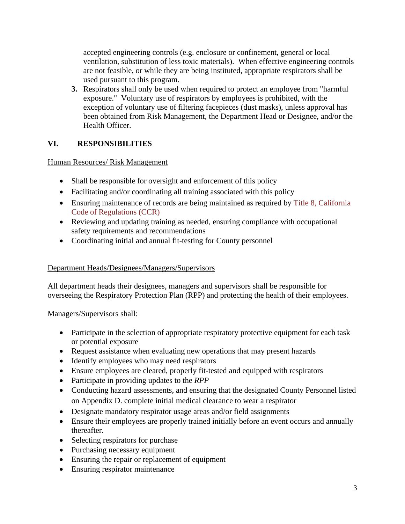accepted engineering controls (e.g. enclosure or confinement, general or local ventilation, substitution of less toxic materials). When effective engineering controls are not feasible, or while they are being instituted, appropriate respirators shall be used pursuant to this program.

**3.** Respirators shall only be used when required to protect an employee from "harmful exposure." Voluntary use of respirators by employees is prohibited, with the exception of voluntary use of filtering facepieces (dust masks), unless approval has been obtained from Risk Management, the Department Head or Designee, and/or the Health Officer.

## **VI. RESPONSIBILITIES**

Human Resources/ Risk Management

- Shall be responsible for oversight and enforcement of this policy
- Facilitating and/or coordinating all training associated with this policy
- Ensuring maintenance of records are being maintained as required by Title 8, California [Code of Regulations \(CCR\)](https://www.dir.ca.gov/title8/3204.html)
- Reviewing and updating training as needed, ensuring compliance with occupational safety requirements and recommendations
- Coordinating initial and annual fit-testing for County personnel

### Department Heads/Designees/Managers/Supervisors

All department heads their designees, managers and supervisors shall be responsible for overseeing the Respiratory Protection Plan (RPP) and protecting the health of their employees.

Managers/Supervisors shall:

- Participate in the selection of appropriate respiratory protective equipment for each task or potential exposure
- Request assistance when evaluating new operations that may present hazards
- Identify employees who may need respirators
- Ensure employees are cleared, properly fit-tested and equipped with respirators
- Participate in providing updates to the *RPP*
- Conducting hazard assessments, and ensuring that the designated County Personnel listed on Appendix D. complete initial medical clearance to wear a respirator
- Designate mandatory respirator usage areas and/or field assignments
- Ensure their employees are properly trained initially before an event occurs and annually thereafter.
- Selecting respirators for purchase
- Purchasing necessary equipment
- Ensuring the repair or replacement of equipment
- Ensuring respirator maintenance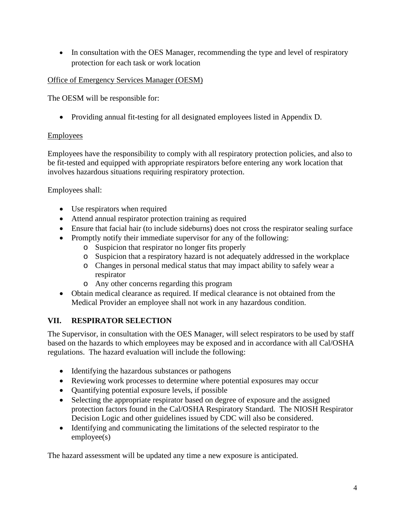• In consultation with the OES Manager, recommending the type and level of respiratory protection for each task or work location

## Office of Emergency Services Manager (OESM)

The OESM will be responsible for:

• Providing annual fit-testing for all designated employees listed in Appendix D.

## Employees

Employees have the responsibility to comply with all respiratory protection policies, and also to be fit-tested and equipped with appropriate respirators before entering any work location that involves hazardous situations requiring respiratory protection.

Employees shall:

- Use respirators when required
- Attend annual respirator protection training as required
- Ensure that facial hair (to include sideburns) does not cross the respirator sealing surface
- Promptly notify their immediate supervisor for any of the following:
	- o Suspicion that respirator no longer fits properly
	- o Suspicion that a respiratory hazard is not adequately addressed in the workplace
	- o Changes in personal medical status that may impact ability to safely wear a respirator
	- o Any other concerns regarding this program
- Obtain medical clearance as required. If medical clearance is not obtained from the Medical Provider an employee shall not work in any hazardous condition.

## **VII. RESPIRATOR SELECTION**

The Supervisor, in consultation with the OES Manager, will select respirators to be used by staff based on the hazards to which employees may be exposed and in accordance with all Cal/OSHA regulations. The hazard evaluation will include the following:

- Identifying the hazardous substances or pathogens
- Reviewing work processes to determine where potential exposures may occur
- Quantifying potential exposure levels, if possible
- Selecting the appropriate respirator based on degree of exposure and the assigned protection factors found in the Cal/OSHA Respiratory Standard. The NIOSH Respirator Decision Logic and other guidelines issued by CDC will also be considered.
- Identifying and communicating the limitations of the selected respirator to the employee(s)

The hazard assessment will be updated any time a new exposure is anticipated.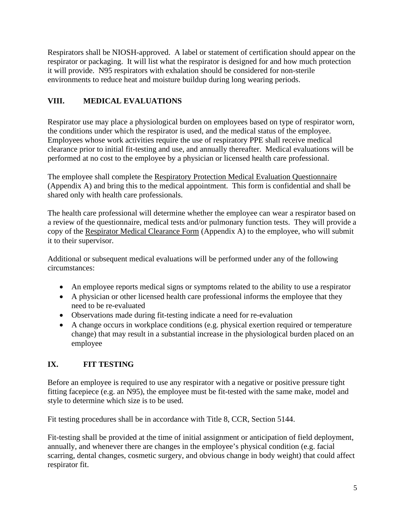Respirators shall be NIOSH-approved. A label or statement of certification should appear on the respirator or packaging. It will list what the respirator is designed for and how much protection it will provide. N95 respirators with exhalation should be considered for non-sterile environments to reduce heat and moisture buildup during long wearing periods.

## **VIII. MEDICAL EVALUATIONS**

Respirator use may place a physiological burden on employees based on type of respirator worn, the conditions under which the respirator is used, and the medical status of the employee. Employees whose work activities require the use of respiratory PPE shall receive medical clearance prior to initial fit-testing and use, and annually thereafter. Medical evaluations will be performed at no cost to the employee by a physician or licensed health care professional.

The employee shall complete the Respiratory Protection Medical Evaluation Questionnaire (Appendix A) and bring this to the medical appointment. This form is confidential and shall be shared only with health care professionals.

The health care professional will determine whether the employee can wear a respirator based on a review of the questionnaire, medical tests and/or pulmonary function tests. They will provide a copy of the Respirator Medical Clearance Form (Appendix A) to the employee, who will submit it to their supervisor.

Additional or subsequent medical evaluations will be performed under any of the following circumstances:

- An employee reports medical signs or symptoms related to the ability to use a respirator
- A physician or other licensed health care professional informs the employee that they need to be re-evaluated
- Observations made during fit-testing indicate a need for re-evaluation
- A change occurs in workplace conditions (e.g. physical exertion required or temperature change) that may result in a substantial increase in the physiological burden placed on an employee

## **IX. FIT TESTING**

Before an employee is required to use any respirator with a negative or positive pressure tight fitting facepiece (e.g. an N95), the employee must be fit-tested with the same make, model and style to determine which size is to be used.

Fit testing procedures shall be in accordance with Title 8, CCR, Section 5144.

Fit-testing shall be provided at the time of initial assignment or anticipation of field deployment, annually, and whenever there are changes in the employee's physical condition (e.g. facial scarring, dental changes, cosmetic surgery, and obvious change in body weight) that could affect respirator fit.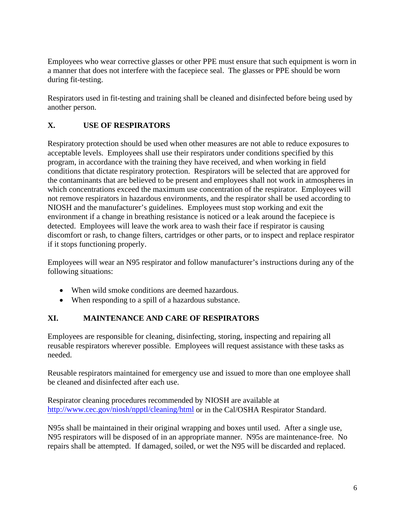Employees who wear corrective glasses or other PPE must ensure that such equipment is worn in a manner that does not interfere with the facepiece seal. The glasses or PPE should be worn during fit-testing.

Respirators used in fit-testing and training shall be cleaned and disinfected before being used by another person.

## **X. USE OF RESPIRATORS**

Respiratory protection should be used when other measures are not able to reduce exposures to acceptable levels. Employees shall use their respirators under conditions specified by this program, in accordance with the training they have received, and when working in field conditions that dictate respiratory protection. Respirators will be selected that are approved for the contaminants that are believed to be present and employees shall not work in atmospheres in which concentrations exceed the maximum use concentration of the respirator. Employees will not remove respirators in hazardous environments, and the respirator shall be used according to NIOSH and the manufacturer's guidelines. Employees must stop working and exit the environment if a change in breathing resistance is noticed or a leak around the facepiece is detected. Employees will leave the work area to wash their face if respirator is causing discomfort or rash, to change filters, cartridges or other parts, or to inspect and replace respirator if it stops functioning properly.

Employees will wear an N95 respirator and follow manufacturer's instructions during any of the following situations:

- When wild smoke conditions are deemed hazardous.
- When responding to a spill of a hazardous substance.

## **XI. MAINTENANCE AND CARE OF RESPIRATORS**

Employees are responsible for cleaning, disinfecting, storing, inspecting and repairing all reusable respirators wherever possible. Employees will request assistance with these tasks as needed.

Reusable respirators maintained for emergency use and issued to more than one employee shall be cleaned and disinfected after each use.

Respirator cleaning procedures recommended by NIOSH are available at <http://www.cec.gov/niosh/npptl/cleaning/html> or in the Cal/OSHA Respirator Standard.

N95s shall be maintained in their original wrapping and boxes until used. After a single use, N95 respirators will be disposed of in an appropriate manner. N95s are maintenance-free. No repairs shall be attempted. If damaged, soiled, or wet the N95 will be discarded and replaced.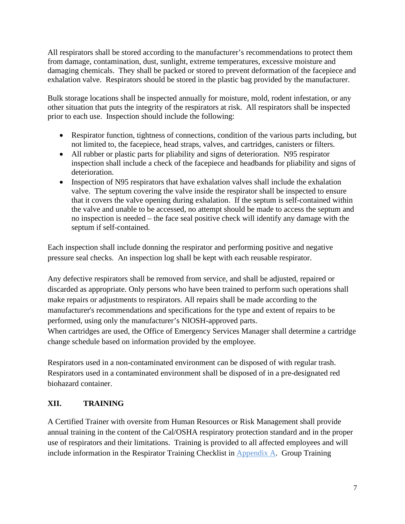All respirators shall be stored according to the manufacturer's recommendations to protect them from damage, contamination, dust, sunlight, extreme temperatures, excessive moisture and damaging chemicals. They shall be packed or stored to prevent deformation of the facepiece and exhalation valve. Respirators should be stored in the plastic bag provided by the manufacturer.

Bulk storage locations shall be inspected annually for moisture, mold, rodent infestation, or any other situation that puts the integrity of the respirators at risk. All respirators shall be inspected prior to each use. Inspection should include the following:

- Respirator function, tightness of connections, condition of the various parts including, but not limited to, the facepiece, head straps, valves, and cartridges, canisters or filters.
- All rubber or plastic parts for pliability and signs of deterioration. N95 respirator inspection shall include a check of the facepiece and headbands for pliability and signs of deterioration.
- Inspection of N95 respirators that have exhalation valves shall include the exhalation valve. The septum covering the valve inside the respirator shall be inspected to ensure that it covers the valve opening during exhalation. If the septum is self-contained within the valve and unable to be accessed, no attempt should be made to access the septum and no inspection is needed – the face seal positive check will identify any damage with the septum if self-contained.

Each inspection shall include donning the respirator and performing positive and negative pressure seal checks. An inspection log shall be kept with each reusable respirator.

Any defective respirators shall be removed from service, and shall be adjusted, repaired or discarded as appropriate. Only persons who have been trained to perform such operations shall make repairs or adjustments to respirators. All repairs shall be made according to the manufacturer's recommendations and specifications for the type and extent of repairs to be performed, using only the manufacturer's NIOSH-approved parts.

When cartridges are used, the Office of Emergency Services Manager shall determine a cartridge change schedule based on information provided by the employee.

Respirators used in a non-contaminated environment can be disposed of with regular trash. Respirators used in a contaminated environment shall be disposed of in a pre-designated red biohazard container.

## **XII. TRAINING**

A Certified Trainer with oversite from Human Resources or Risk Management shall provide annual training in the content of the Cal/OSHA respiratory protection standard and in the proper use of respirators and their limitations. Training is provided to all affected employees and will include information in the Respirator Training Checklist in Appendix A. Group Training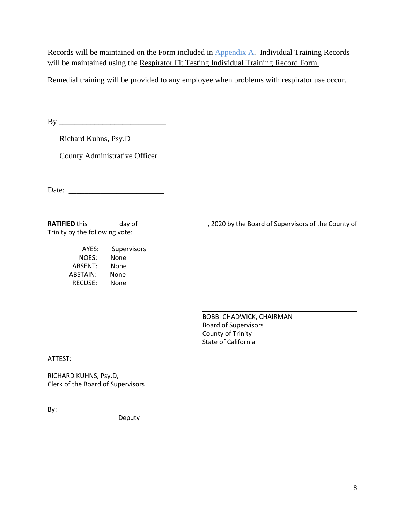Records will be maintained on the Form included in Appendix A. Individual Training Records will be maintained using the Respirator Fit Testing Individual Training Record Form.

Remedial training will be provided to any employee when problems with respirator use occur.

 $\mathbf{B} \mathbf{y}$ 

Richard Kuhns, Psy.D

County Administrative Officer

Date:

**RATIFIED** this \_\_\_\_\_\_\_\_ day of \_\_\_\_\_\_\_\_\_\_\_\_\_\_\_\_\_\_\_, 2020 by the Board of Supervisors of the County of Trinity by the following vote:

L

AYES: Supervisors<br>NOES: None NOES: ABSENT: None ABSTAIN: None RECUSE: None

> BOBBI CHADWICK, CHAIRMAN Board of Supervisors County of Trinity State of California

ATTEST:

RICHARD KUHNS, Psy.D, Clerk of the Board of Supervisors

By:

Deputy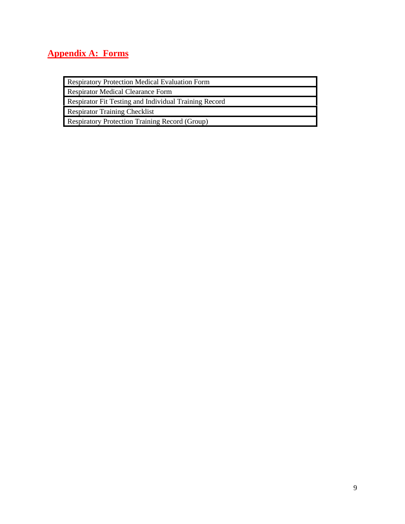## **Appendix A: Forms**

Respiratory Protection Medical Evaluation Form

Respirator Medical Clearance Form

Respirator Fit Testing and Individual Training Record

Respirator Training Checklist

Respiratory Protection Training Record (Group)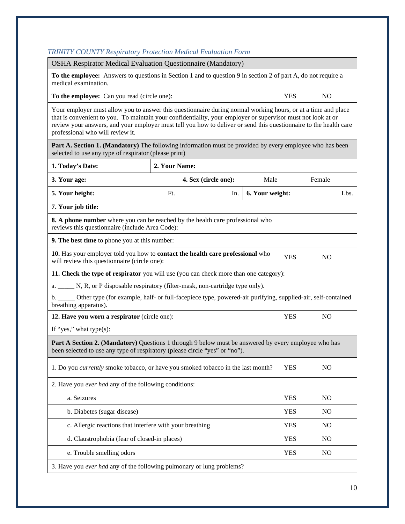## *TRINITY COUNTY Respiratory Protection Medical Evaluation Form*

| <b>OSHA Respirator Medical Evaluation Questionnaire (Mandatory)</b>                                                                                                                                                                                                                                                                                                                    |               |                      |                 |            |                |
|----------------------------------------------------------------------------------------------------------------------------------------------------------------------------------------------------------------------------------------------------------------------------------------------------------------------------------------------------------------------------------------|---------------|----------------------|-----------------|------------|----------------|
| To the employee: Answers to questions in Section 1 and to question 9 in section 2 of part A, do not require a<br>medical examination.                                                                                                                                                                                                                                                  |               |                      |                 |            |                |
| To the employee: Can you read (circle one):                                                                                                                                                                                                                                                                                                                                            |               |                      |                 | <b>YES</b> | N <sub>O</sub> |
| Your employer must allow you to answer this questionnaire during normal working hours, or at a time and place<br>that is convenient to you. To maintain your confidentiality, your employer or supervisor must not look at or<br>review your answers, and your employer must tell you how to deliver or send this questionnaire to the health care<br>professional who will review it. |               |                      |                 |            |                |
| Part A. Section 1. (Mandatory) The following information must be provided by every employee who has been<br>selected to use any type of respirator (please print)                                                                                                                                                                                                                      |               |                      |                 |            |                |
| 1. Today's Date:                                                                                                                                                                                                                                                                                                                                                                       | 2. Your Name: |                      |                 |            |                |
| 3. Your age:                                                                                                                                                                                                                                                                                                                                                                           |               | 4. Sex (circle one): | Male            |            | Female         |
| 5. Your height:                                                                                                                                                                                                                                                                                                                                                                        | Ft.           | In.                  | 6. Your weight: |            | Lbs.           |
| 7. Your job title:                                                                                                                                                                                                                                                                                                                                                                     |               |                      |                 |            |                |
| 8. A phone number where you can be reached by the health care professional who<br>reviews this questionnaire (include Area Code):                                                                                                                                                                                                                                                      |               |                      |                 |            |                |
| 9. The best time to phone you at this number:                                                                                                                                                                                                                                                                                                                                          |               |                      |                 |            |                |
| 10. Has your employer told you how to contact the health care professional who<br><b>YES</b><br>N <sub>O</sub><br>will review this questionnaire (circle one):                                                                                                                                                                                                                         |               |                      |                 |            |                |
| 11. Check the type of respirator you will use (you can check more than one category):                                                                                                                                                                                                                                                                                                  |               |                      |                 |            |                |
| a. _______ N, R, or P disposable respiratory (filter-mask, non-cartridge type only).                                                                                                                                                                                                                                                                                                   |               |                      |                 |            |                |
| b. _____ Other type (for example, half- or full-facepiece type, powered-air purifying, supplied-air, self-contained<br>breathing apparatus).                                                                                                                                                                                                                                           |               |                      |                 |            |                |
| 12. Have you worn a respirator (circle one):<br><b>YES</b><br>N <sub>O</sub>                                                                                                                                                                                                                                                                                                           |               |                      |                 |            |                |
| If "yes," what type $(s)$ :                                                                                                                                                                                                                                                                                                                                                            |               |                      |                 |            |                |
| Part A Section 2. (Mandatory) Questions 1 through 9 below must be answered by every employee who has<br>been selected to use any type of respiratory (please circle "yes" or "no").                                                                                                                                                                                                    |               |                      |                 |            |                |
| 1. Do you currently smoke tobacco, or have you smoked tobacco in the last month?<br>N <sub>O</sub><br><b>YES</b>                                                                                                                                                                                                                                                                       |               |                      |                 |            |                |
| 2. Have you ever had any of the following conditions:                                                                                                                                                                                                                                                                                                                                  |               |                      |                 |            |                |
| a. Seizures                                                                                                                                                                                                                                                                                                                                                                            |               |                      |                 | <b>YES</b> | NO             |
| b. Diabetes (sugar disease)                                                                                                                                                                                                                                                                                                                                                            |               |                      |                 | <b>YES</b> | N <sub>O</sub> |
| c. Allergic reactions that interfere with your breathing<br><b>YES</b><br>NO                                                                                                                                                                                                                                                                                                           |               |                      |                 |            |                |
| d. Claustrophobia (fear of closed-in places)<br><b>YES</b><br>N <sub>O</sub>                                                                                                                                                                                                                                                                                                           |               |                      |                 |            |                |
| e. Trouble smelling odors<br><b>YES</b><br>N <sub>O</sub>                                                                                                                                                                                                                                                                                                                              |               |                      |                 |            |                |
| 3. Have you ever had any of the following pulmonary or lung problems?                                                                                                                                                                                                                                                                                                                  |               |                      |                 |            |                |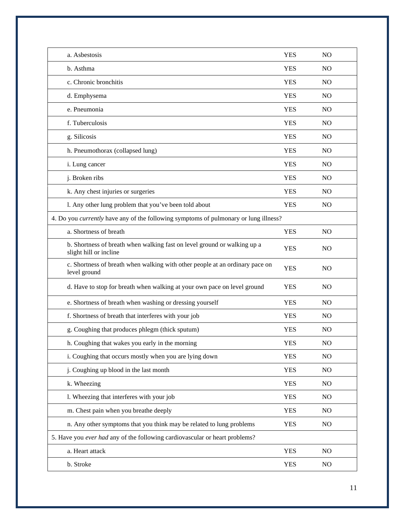| a. Asbestosis                                                                                      | <b>YES</b> | N <sub>O</sub> |
|----------------------------------------------------------------------------------------------------|------------|----------------|
| b. Asthma                                                                                          | <b>YES</b> | <b>NO</b>      |
| c. Chronic bronchitis                                                                              | <b>YES</b> | <b>NO</b>      |
| d. Emphysema                                                                                       | <b>YES</b> | <b>NO</b>      |
| e. Pneumonia                                                                                       | <b>YES</b> | N <sub>O</sub> |
| f. Tuberculosis                                                                                    | <b>YES</b> | N <sub>O</sub> |
| g. Silicosis                                                                                       | <b>YES</b> | <b>NO</b>      |
| h. Pneumothorax (collapsed lung)                                                                   | <b>YES</b> | N <sub>O</sub> |
| i. Lung cancer                                                                                     | <b>YES</b> | NO             |
| j. Broken ribs                                                                                     | <b>YES</b> | <b>NO</b>      |
| k. Any chest injuries or surgeries                                                                 | <b>YES</b> | N <sub>O</sub> |
| l. Any other lung problem that you've been told about                                              | <b>YES</b> | N <sub>O</sub> |
| 4. Do you currently have any of the following symptoms of pulmonary or lung illness?               |            |                |
| a. Shortness of breath                                                                             | <b>YES</b> | N <sub>O</sub> |
| b. Shortness of breath when walking fast on level ground or walking up a<br>slight hill or incline | <b>YES</b> | N <sub>O</sub> |
| c. Shortness of breath when walking with other people at an ordinary pace on<br>level ground       | <b>YES</b> | N <sub>O</sub> |
| d. Have to stop for breath when walking at your own pace on level ground                           | <b>YES</b> | NO.            |
| e. Shortness of breath when washing or dressing yourself                                           | <b>YES</b> | <b>NO</b>      |
| f. Shortness of breath that interferes with your job                                               | <b>YES</b> | NO             |
| g. Coughing that produces phlegm (thick sputum)                                                    | <b>YES</b> | N <sub>O</sub> |
| h. Coughing that wakes you early in the morning                                                    | <b>YES</b> | N <sub>O</sub> |
| i. Coughing that occurs mostly when you are lying down                                             | <b>YES</b> | NO             |
| j. Coughing up blood in the last month                                                             | <b>YES</b> | NO             |
| k. Wheezing                                                                                        | <b>YES</b> | NO             |
| 1. Wheezing that interferes with your job                                                          | <b>YES</b> | NO             |
| m. Chest pain when you breathe deeply                                                              | <b>YES</b> | N <sub>O</sub> |
| n. Any other symptoms that you think may be related to lung problems                               | <b>YES</b> | NO             |
| 5. Have you ever had any of the following cardiovascular or heart problems?                        |            |                |
| a. Heart attack                                                                                    | <b>YES</b> | NO             |
| b. Stroke                                                                                          | <b>YES</b> | NO             |
|                                                                                                    |            |                |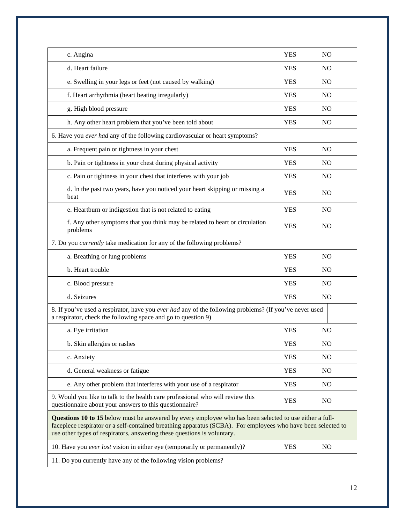| c. Angina                                                                                                                                                                                                                                                                                          | <b>YES</b> | N <sub>O</sub> |
|----------------------------------------------------------------------------------------------------------------------------------------------------------------------------------------------------------------------------------------------------------------------------------------------------|------------|----------------|
| d. Heart failure                                                                                                                                                                                                                                                                                   | <b>YES</b> | N <sub>O</sub> |
| e. Swelling in your legs or feet (not caused by walking)                                                                                                                                                                                                                                           | <b>YES</b> | N <sub>O</sub> |
| f. Heart arrhythmia (heart beating irregularly)                                                                                                                                                                                                                                                    | <b>YES</b> | N <sub>O</sub> |
| g. High blood pressure                                                                                                                                                                                                                                                                             | <b>YES</b> | N <sub>O</sub> |
| h. Any other heart problem that you've been told about                                                                                                                                                                                                                                             | <b>YES</b> | NO             |
| 6. Have you ever had any of the following cardiovascular or heart symptoms?                                                                                                                                                                                                                        |            |                |
| a. Frequent pain or tightness in your chest                                                                                                                                                                                                                                                        | <b>YES</b> | N <sub>O</sub> |
| b. Pain or tightness in your chest during physical activity                                                                                                                                                                                                                                        | <b>YES</b> | N <sub>O</sub> |
| c. Pain or tightness in your chest that interferes with your job                                                                                                                                                                                                                                   | <b>YES</b> | N <sub>O</sub> |
| d. In the past two years, have you noticed your heart skipping or missing a<br>beat                                                                                                                                                                                                                | <b>YES</b> | N <sub>O</sub> |
| e. Heartburn or indigestion that is not related to eating                                                                                                                                                                                                                                          | <b>YES</b> | N <sub>O</sub> |
| f. Any other symptoms that you think may be related to heart or circulation<br>problems                                                                                                                                                                                                            | <b>YES</b> | N <sub>O</sub> |
| 7. Do you <i>currently</i> take medication for any of the following problems?                                                                                                                                                                                                                      |            |                |
| a. Breathing or lung problems                                                                                                                                                                                                                                                                      | <b>YES</b> | N <sub>O</sub> |
| b. Heart trouble                                                                                                                                                                                                                                                                                   | <b>YES</b> | N <sub>O</sub> |
| c. Blood pressure                                                                                                                                                                                                                                                                                  | <b>YES</b> | N <sub>O</sub> |
| d. Seizures                                                                                                                                                                                                                                                                                        | <b>YES</b> | N <sub>O</sub> |
| 8. If you've used a respirator, have you ever had any of the following problems? (If you've never used<br>a respirator, check the following space and go to question 9)                                                                                                                            |            |                |
| a. Eye irritation                                                                                                                                                                                                                                                                                  | <b>YES</b> | NO             |
| b. Skin allergies or rashes                                                                                                                                                                                                                                                                        | <b>YES</b> | NO             |
| c. Anxiety                                                                                                                                                                                                                                                                                         | <b>YES</b> | N <sub>O</sub> |
| d. General weakness or fatigue                                                                                                                                                                                                                                                                     | <b>YES</b> | N <sub>O</sub> |
| e. Any other problem that interferes with your use of a respirator                                                                                                                                                                                                                                 | <b>YES</b> | N <sub>O</sub> |
| 9. Would you like to talk to the health care professional who will review this<br>questionnaire about your answers to this questionnaire?                                                                                                                                                          | <b>YES</b> | NO             |
| Questions 10 to 15 below must be answered by every employee who has been selected to use either a full-<br>facepiece respirator or a self-contained breathing apparatus (SCBA). For employees who have been selected to<br>use other types of respirators, answering these questions is voluntary. |            |                |
| 10. Have you ever lost vision in either eye (temporarily or permanently)?                                                                                                                                                                                                                          | <b>YES</b> | N <sub>O</sub> |
| 11. Do you currently have any of the following vision problems?                                                                                                                                                                                                                                    |            |                |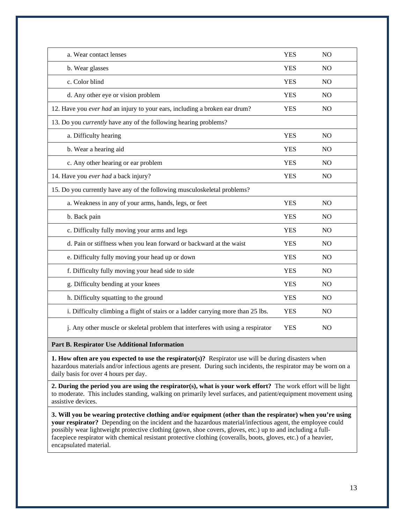| a. Wear contact lenses                                                           | <b>YES</b> | N <sub>O</sub> |
|----------------------------------------------------------------------------------|------------|----------------|
| b. Wear glasses                                                                  | <b>YES</b> | NO             |
| c. Color blind                                                                   | <b>YES</b> | N <sub>O</sub> |
| d. Any other eye or vision problem                                               | <b>YES</b> | N <sub>O</sub> |
| 12. Have you ever had an injury to your ears, including a broken ear drum?       | <b>YES</b> | NO             |
| 13. Do you <i>currently</i> have any of the following hearing problems?          |            |                |
| a. Difficulty hearing                                                            | <b>YES</b> | NO             |
| b. Wear a hearing aid                                                            | <b>YES</b> | N <sub>O</sub> |
| c. Any other hearing or ear problem                                              | <b>YES</b> | N <sub>O</sub> |
| 14. Have you ever had a back injury?                                             | <b>YES</b> | NO             |
| 15. Do you currently have any of the following musculoskeletal problems?         |            |                |
| a. Weakness in any of your arms, hands, legs, or feet                            | <b>YES</b> | NO             |
| b. Back pain                                                                     | <b>YES</b> | N <sub>O</sub> |
| c. Difficulty fully moving your arms and legs                                    | <b>YES</b> | N <sub>O</sub> |
| d. Pain or stiffness when you lean forward or backward at the waist              | <b>YES</b> | N <sub>O</sub> |
| e. Difficulty fully moving your head up or down                                  | <b>YES</b> | N <sub>O</sub> |
| f. Difficulty fully moving your head side to side                                | <b>YES</b> | N <sub>O</sub> |
| g. Difficulty bending at your knees                                              | <b>YES</b> | N <sub>O</sub> |
| h. Difficulty squatting to the ground                                            | <b>YES</b> | NO             |
| i. Difficulty climbing a flight of stairs or a ladder carrying more than 25 lbs. | <b>YES</b> | N <sub>O</sub> |
| j. Any other muscle or skeletal problem that interferes with using a respirator  | <b>YES</b> | N <sub>O</sub> |

### **Part B. Respirator Use Additional Information**

**1. How often are you expected to use the respirator(s)?** Respirator use will be during disasters when hazardous materials and/or infectious agents are present. During such incidents, the respirator may be worn on a daily basis for over 4 hours per day.

**2. During the period you are using the respirator(s), what is your work effort?** The work effort will be light to moderate. This includes standing, walking on primarily level surfaces, and patient/equipment movement using assistive devices.

**3. Will you be wearing protective clothing and/or equipment (other than the respirator) when you're using your respirator?** Depending on the incident and the hazardous material/infectious agent, the employee could possibly wear lightweight protective clothing (gown, shoe covers, gloves, etc.) up to and including a fullfacepiece respirator with chemical resistant protective clothing (coveralls, boots, gloves, etc.) of a heavier, encapsulated material.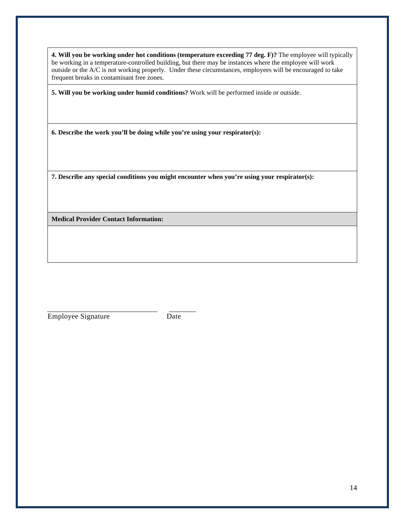**4. Will you be working under hot conditions (temperature exceeding 77 deg. F)?** The employee will typically be working in a temperature-controlled building, but there may be instances where the employee will work outside or the A/C is not working properly. Under these circumstances, employees will be encouraged to take frequent breaks in contaminant free zones.

**5. Will you be working under humid conditions?** Work will be performed inside or outside.

**6. Describe the work you'll be doing while you're using your respirator(s):** 

**7. Describe any special conditions you might encounter when you're using your respirator(s):** 

**Medical Provider Contact Information:**

Employee Signature Date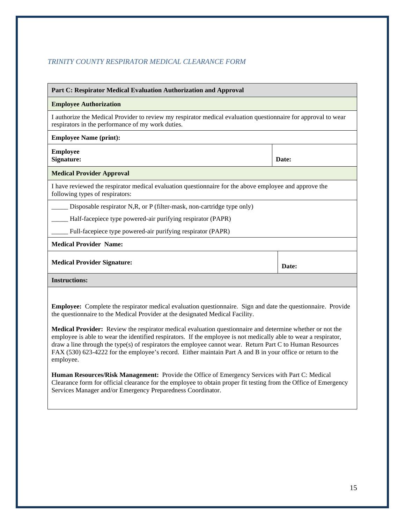### *TRINITY COUNTY RESPIRATOR MEDICAL CLEARANCE FORM*

| Part C: Respirator Medical Evaluation Authorization and Approval                                                                                                                                                                                                                                                                                                                                                                                                                                                                                                                                                                                                              |       |  |  |
|-------------------------------------------------------------------------------------------------------------------------------------------------------------------------------------------------------------------------------------------------------------------------------------------------------------------------------------------------------------------------------------------------------------------------------------------------------------------------------------------------------------------------------------------------------------------------------------------------------------------------------------------------------------------------------|-------|--|--|
| <b>Employee Authorization</b>                                                                                                                                                                                                                                                                                                                                                                                                                                                                                                                                                                                                                                                 |       |  |  |
| I authorize the Medical Provider to review my respirator medical evaluation questionnaire for approval to wear<br>respirators in the performance of my work duties.                                                                                                                                                                                                                                                                                                                                                                                                                                                                                                           |       |  |  |
| <b>Employee Name (print):</b>                                                                                                                                                                                                                                                                                                                                                                                                                                                                                                                                                                                                                                                 |       |  |  |
| <b>Employee</b><br>Signature:                                                                                                                                                                                                                                                                                                                                                                                                                                                                                                                                                                                                                                                 | Date: |  |  |
| <b>Medical Provider Approval</b>                                                                                                                                                                                                                                                                                                                                                                                                                                                                                                                                                                                                                                              |       |  |  |
| I have reviewed the respirator medical evaluation questionnaire for the above employee and approve the<br>following types of respirators:                                                                                                                                                                                                                                                                                                                                                                                                                                                                                                                                     |       |  |  |
| Disposable respirator N,R, or P (filter-mask, non-cartridge type only)                                                                                                                                                                                                                                                                                                                                                                                                                                                                                                                                                                                                        |       |  |  |
| Half-facepiece type powered-air purifying respirator (PAPR)                                                                                                                                                                                                                                                                                                                                                                                                                                                                                                                                                                                                                   |       |  |  |
| Full-facepiece type powered-air purifying respirator (PAPR)                                                                                                                                                                                                                                                                                                                                                                                                                                                                                                                                                                                                                   |       |  |  |
| <b>Medical Provider Name:</b>                                                                                                                                                                                                                                                                                                                                                                                                                                                                                                                                                                                                                                                 |       |  |  |
| <b>Medical Provider Signature:</b>                                                                                                                                                                                                                                                                                                                                                                                                                                                                                                                                                                                                                                            | Date: |  |  |
| <b>Instructions:</b>                                                                                                                                                                                                                                                                                                                                                                                                                                                                                                                                                                                                                                                          |       |  |  |
| <b>Employee:</b> Complete the respirator medical evaluation questionnaire. Sign and date the questionnaire. Provide<br>the questionnaire to the Medical Provider at the designated Medical Facility.<br>Medical Provider: Review the respirator medical evaluation questionnaire and determine whether or not the<br>employee is able to wear the identified respirators. If the employee is not medically able to wear a respirator,<br>draw a line through the type(s) of respirators the employee cannot wear. Return Part C to Human Resources<br>FAX (530) 623-4222 for the employee's record. Either maintain Part A and B in your office or return to the<br>employee. |       |  |  |

**Human Resources/Risk Management:** Provide the Office of Emergency Services with Part C: Medical Clearance form for official clearance for the employee to obtain proper fit testing from the Office of Emergency Services Manager and/or Emergency Preparedness Coordinator.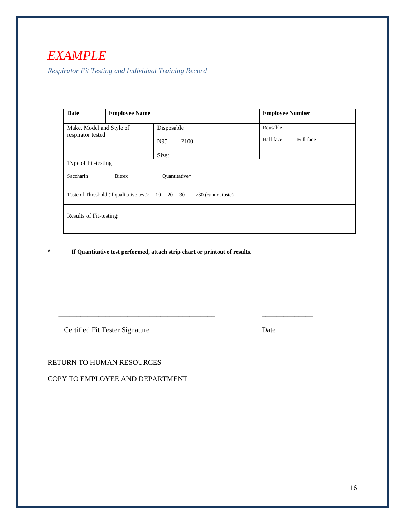## *EXAMPLE*

*Respirator Fit Testing and Individual Training Record*

| <b>Date</b>                                   | <b>Employee Name</b>                      |                                  | <b>Employee Number</b> |
|-----------------------------------------------|-------------------------------------------|----------------------------------|------------------------|
| Make, Model and Style of<br>respirator tested |                                           | Disposable                       | Reusable               |
|                                               |                                           | N95<br>P <sub>100</sub>          | Half face<br>Full face |
|                                               |                                           | Size:                            |                        |
| Type of Fit-testing                           |                                           |                                  |                        |
| Saccharin                                     | <b>Bitrex</b>                             | Quantitative*                    |                        |
|                                               | Taste of Threshold (if qualitative test): | 10 20 30<br>$>30$ (cannot taste) |                        |
| Results of Fit-testing:                       |                                           |                                  |                        |

**\* If Quantitative test performed, attach strip chart or printout of results.**

\_\_\_\_\_\_\_\_\_\_\_\_\_\_\_\_\_\_\_\_\_\_\_\_\_\_\_\_\_\_\_\_\_\_\_\_\_\_\_\_\_\_\_ \_\_\_\_\_\_\_\_\_\_\_\_\_\_

Certified Fit Tester Signature Date

RETURN TO HUMAN RESOURCES

COPY TO EMPLOYEE AND DEPARTMENT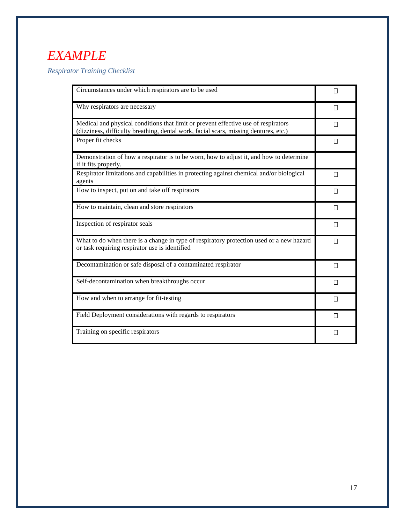# *EXAMPLE*

*Respirator Training Checklist* 

| Circumstances under which respirators are to be used                                                                                                                       | $\Box$       |
|----------------------------------------------------------------------------------------------------------------------------------------------------------------------------|--------------|
| Why respirators are necessary                                                                                                                                              | П            |
| Medical and physical conditions that limit or prevent effective use of respirators<br>(dizziness, difficulty breathing, dental work, facial scars, missing dentures, etc.) | П            |
| Proper fit checks                                                                                                                                                          | П            |
| Demonstration of how a respirator is to be worn, how to adjust it, and how to determine<br>if it fits properly.                                                            |              |
| Respirator limitations and capabilities in protecting against chemical and/or biological<br>agents                                                                         | П            |
| How to inspect, put on and take off respirators                                                                                                                            | $\Box$       |
| How to maintain, clean and store respirators                                                                                                                               | П            |
| Inspection of respirator seals                                                                                                                                             | $\Box$       |
| What to do when there is a change in type of respiratory protection used or a new hazard<br>or task requiring respirator use is identified                                 | $\Box$       |
| Decontamination or safe disposal of a contaminated respirator                                                                                                              | $\Box$       |
| Self-decontamination when breakthroughs occur                                                                                                                              | П            |
| How and when to arrange for fit-testing                                                                                                                                    | П            |
| Field Deployment considerations with regards to respirators                                                                                                                | $\Box$       |
| Training on specific respirators                                                                                                                                           | $\mathsf{I}$ |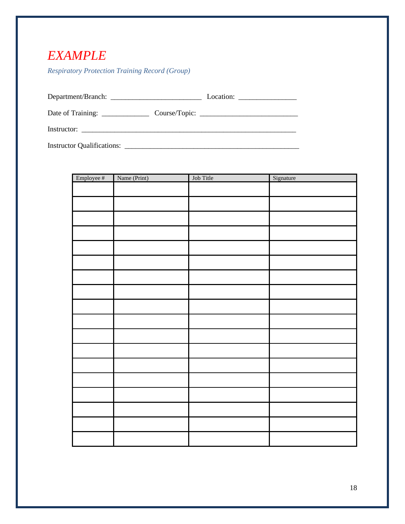## *EXAMPLE*

*Respiratory Protection Training Record (Group)*

| <b>Instructor Qualifications:</b> |  |
|-----------------------------------|--|

| Employee # | Name (Print) | Job Title | Signature |
|------------|--------------|-----------|-----------|
|            |              |           |           |
|            |              |           |           |
|            |              |           |           |
|            |              |           |           |
|            |              |           |           |
|            |              |           |           |
|            |              |           |           |
|            |              |           |           |
|            |              |           |           |
|            |              |           |           |
|            |              |           |           |
|            |              |           |           |
|            |              |           |           |
|            |              |           |           |
|            |              |           |           |
|            |              |           |           |
|            |              |           |           |
|            |              |           |           |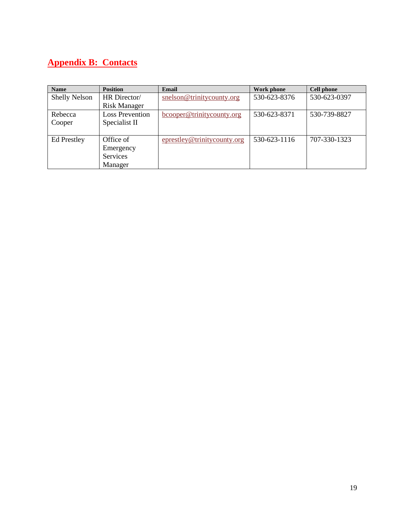## **Appendix B: Contacts**

| <b>Name</b>          | <b>Position</b>        | Email                       | Work phone   | Cell phone   |
|----------------------|------------------------|-----------------------------|--------------|--------------|
| <b>Shelly Nelson</b> | HR Director/           | snelson@trinitycounty.org   | 530-623-8376 | 530-623-0397 |
|                      | <b>Risk Manager</b>    |                             |              |              |
| Rebecca              | <b>Loss Prevention</b> | bcooper@trinitycounty.org   | 530-623-8371 | 530-739-8827 |
| Cooper               | Specialist II          |                             |              |              |
|                      |                        |                             |              |              |
| <b>Ed Prestley</b>   | Office of              | eprestley@trinitycounty.org | 530-623-1116 | 707-330-1323 |
|                      | Emergency              |                             |              |              |
|                      | Services               |                             |              |              |
|                      | Manager                |                             |              |              |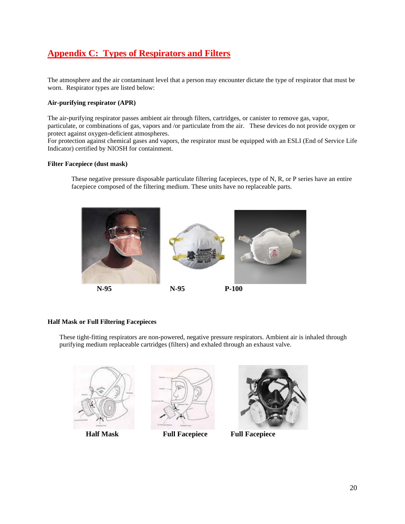## **Appendix C: Types of Respirators and Filters**

The atmosphere and the air contaminant level that a person may encounter dictate the type of respirator that must be worn. Respirator types are listed below:

#### **Air-purifying respirator (APR)**

The air-purifying respirator passes ambient air through filters, cartridges, or canister to remove gas, vapor, particulate, or combinations of gas, vapors and /or particulate from the air. These devices do not provide oxygen or protect against oxygen-deficient atmospheres.

For protection against chemical gases and vapors, the respirator must be equipped with an ESLI (End of Service Life Indicator) certified by NIOSH for containment.

#### **Filter Facepiece (dust mask)**

These negative pressure disposable particulate filtering facepieces, type of N, R, or P series have an entire facepiece composed of the filtering medium. These units have no replaceable parts.



#### **Half Mask or Full Filtering Facepieces**

These tight-fitting respirators are non-powered, negative pressure respirators. Ambient air is inhaled through purifying medium replaceable cartridges (filters) and exhaled through an exhaust valve.

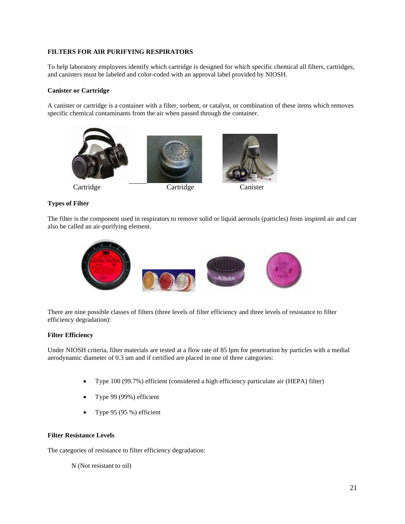### **FILTERS FOR AIR PURIFYING RESPIRATORS**

To help laboratory employees identify which cartridge is designed for which specific chemical all filters, cartridges, and canisters must be labeled and color-coded with an approval label provided by NIOSH.

### **Canister or Cartridge**

A canister or cartridge is a container with a filter, sorbent, or catalyst, or combination of these items which removes specific chemical contaminants from the air when passed through the container.





### **Types of Filter**

The filter is the component used in respirators to remove solid or liquid aerosols (particles) from inspired air and can also be called an air-purifying element.



There are nine possible classes of filters (three levels of filter efficiency and three levels of resistance to filter efficiency degradation):

### **Filter Efficiency**

Under NIOSH criteria, filter materials are tested at a flow rate of 85 lpm for penetration by particles with a medial aerodynamic diameter of 0.3 um and if certified are placed in one of three categories:

- Type 100 (99.7%) efficient (considered a high efficiency particulate air (HEPA) filter)
- Type 99 (99%) efficient
- Type 95 (95 %) efficient

#### **Filter Resistance Levels**

The categories of resistance to filter efficiency degradation:

N (Not resistant to oil)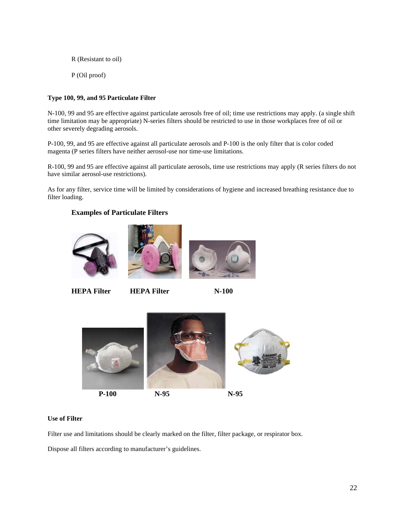R (Resistant to oil) P (Oil proof)

### **Type 100, 99, and 95 Particulate Filter**

N-100, 99 and 95 are effective against particulate aerosols free of oil; time use restrictions may apply. (a single shift time limitation may be appropriate) N-series filters should be restricted to use in those workplaces free of oil or other severely degrading aerosols.

P-100, 99, and 95 are effective against all particulate aerosols and P-100 is the only filter that is color coded magenta (P series filters have neither aerosol-use nor time-use limitations.

R-100, 99 and 95 are effective against all particulate aerosols, time use restrictions may apply (R series filters do not have similar aerosol-use restrictions).

As for any filter, service time will be limited by considerations of hygiene and increased breathing resistance due to filter loading.

### **Examples of Particulate Filters**







**HEPA Filter HEPA Filter N-100**



### **Use of Filter**

Filter use and limitations should be clearly marked on the filter, filter package, or respirator box.

Dispose all filters according to manufacturer's guidelines.